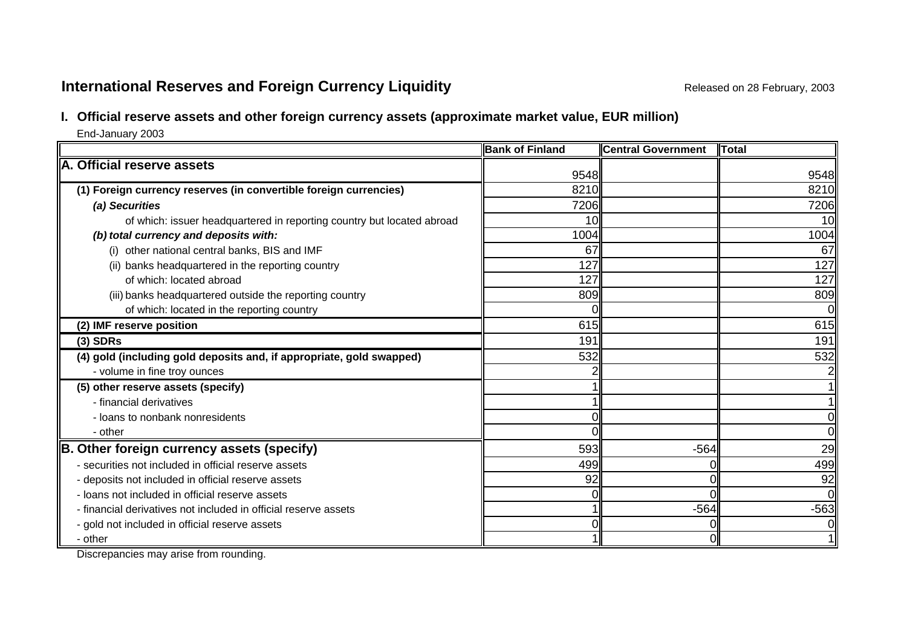# **International Reserves and Foreign Currency Liquidity Released on 28 February, 2003 Released on 28 February, 2003**

# **I. Official reserve assets and other foreign currency assets (approximate market value, EUR million)**

End-January 2003

|                                                                        | <b>Bank of Finland</b> | <b>Central Government</b> | <b>Total</b> |
|------------------------------------------------------------------------|------------------------|---------------------------|--------------|
| A. Official reserve assets                                             | 9548                   |                           | 9548         |
| (1) Foreign currency reserves (in convertible foreign currencies)      | 8210                   |                           | 8210         |
| (a) Securities                                                         | 7206                   |                           | 7206         |
| of which: issuer headquartered in reporting country but located abroad | 10                     |                           | 10           |
| (b) total currency and deposits with:                                  | 1004                   |                           | 1004         |
| (i) other national central banks, BIS and IMF                          | 67                     |                           | 67           |
| (ii) banks headquartered in the reporting country                      | 127                    |                           | 127          |
| of which: located abroad                                               | 127                    |                           | 127          |
| (iii) banks headquartered outside the reporting country                | 809                    |                           | 809          |
| of which: located in the reporting country                             |                        |                           | <sub>0</sub> |
| (2) IMF reserve position                                               | 615                    |                           | 615          |
| $(3)$ SDRs                                                             | 191                    |                           | 191          |
| (4) gold (including gold deposits and, if appropriate, gold swapped)   | 532                    |                           | 532          |
| - volume in fine troy ounces                                           |                        |                           |              |
| (5) other reserve assets (specify)                                     |                        |                           |              |
| - financial derivatives                                                |                        |                           |              |
| - loans to nonbank nonresidents                                        |                        |                           | 0            |
| - other                                                                |                        |                           | Οl           |
| B. Other foreign currency assets (specify)                             | 593                    | $-564$                    | 29           |
| - securities not included in official reserve assets                   | 499                    |                           | 499          |
| - deposits not included in official reserve assets                     | 92                     |                           | 92           |
| - loans not included in official reserve assets                        |                        |                           | 0l           |
| - financial derivatives not included in official reserve assets        |                        | $-564$                    | $-563$       |
| - gold not included in official reserve assets                         |                        |                           | 01           |
| - other                                                                |                        |                           | 1I           |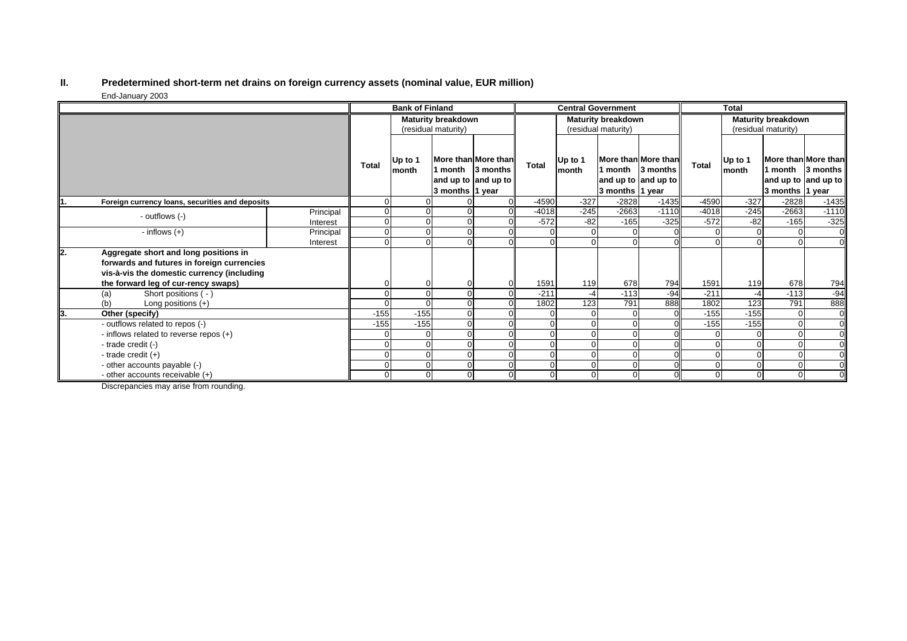#### **II. Predetermined short-term net drains on foreign currency assets (nominal value, EUR million)** End-January 2003

|    |                                                                                                                                                                          |           | <b>Bank of Finland</b>    |                  |                 | <b>Central Government</b>                                      |                           |                  |                                      | <b>Total</b>                               |                |                  |                            |                                                        |
|----|--------------------------------------------------------------------------------------------------------------------------------------------------------------------------|-----------|---------------------------|------------------|-----------------|----------------------------------------------------------------|---------------------------|------------------|--------------------------------------|--------------------------------------------|----------------|------------------|----------------------------|--------------------------------------------------------|
|    |                                                                                                                                                                          |           | <b>Maturity breakdown</b> |                  |                 |                                                                | <b>Maturity breakdown</b> |                  |                                      | <b>Maturity breakdown</b>                  |                |                  |                            |                                                        |
|    |                                                                                                                                                                          |           | (residual maturity)       |                  |                 | (residual maturity)                                            |                           |                  |                                      | (residual maturity)                        |                |                  |                            |                                                        |
|    |                                                                                                                                                                          |           | Total                     | Up to 1<br>month | 3 months 1 year | More than More than<br>1 month 3 months<br>and up to and up to | Total                     | Up to 1<br>month | 1 month 13 months<br>3 months 1 year | More than More than<br>and up to and up to | <b>Total</b>   | Up to 1<br>month | 1 month<br>3 months 1 year | More than More than<br>3 months<br>and up to and up to |
|    | Foreign currency loans, securities and deposits                                                                                                                          |           | 0                         |                  |                 |                                                                | $-4590$                   | $-327$           | $-2828$                              | $-1435$                                    | $-4590$        | $-327$           | $-2828$                    | $-1435$                                                |
|    | - outflows (-)                                                                                                                                                           | Principal | 0                         |                  |                 |                                                                | $-4018$                   | $-245$           | $-2663$                              | $-1110$                                    | $-4018$        | $-245$           | $-2663$                    | $-1110$                                                |
|    |                                                                                                                                                                          | Interest  | $\overline{0}$            |                  |                 |                                                                | $-572$                    | $-82$            | $-165$                               | $-325$                                     | $-572$         | $-82$            | $-165$                     | $-325$                                                 |
|    | - inflows $(+)$                                                                                                                                                          | Principal | $\Omega$                  |                  |                 |                                                                |                           |                  |                                      |                                            |                |                  |                            | $\overline{0}$                                         |
|    |                                                                                                                                                                          | Interest  | $\Omega$                  |                  |                 |                                                                |                           |                  |                                      |                                            |                |                  |                            |                                                        |
| 2. | Aggregate short and long positions in<br>forwards and futures in foreign currencies<br>vis-à-vis the domestic currency (including<br>the forward leg of cur-rency swaps) |           | 0                         |                  |                 |                                                                | 1591                      | 119              | 678                                  | 794                                        | 1591           | 119              | 678                        | 794                                                    |
|    | Short positions ( - )<br>(a)                                                                                                                                             |           | $\Omega$                  |                  | $\Omega$        |                                                                | $-211$                    | $-4$             | $-113$                               | $-94$                                      | $-211$         | $-4$             | $-113$                     | $-94$                                                  |
|    | (b)<br>Long positions $(+)$                                                                                                                                              |           | 0                         |                  |                 |                                                                | 1802                      | 123              | 791                                  | 888                                        | 1802           | 123              | 791                        | 888                                                    |
| 3. | Other (specify)                                                                                                                                                          |           | $-155$                    | $-155$           |                 |                                                                |                           |                  |                                      |                                            | $-155$         | $-155$           |                            | $\overline{0}$                                         |
|    | - outflows related to repos (-)                                                                                                                                          |           | $-155$                    | $-155$           |                 |                                                                |                           |                  |                                      |                                            | $-155$         | $-155$           |                            |                                                        |
|    | - inflows related to reverse repos (+)                                                                                                                                   |           | $\Omega$                  |                  |                 |                                                                |                           | $\sqrt{ }$       |                                      |                                            |                | $\Omega$         |                            | $\overline{0}$                                         |
|    | - trade credit (-)                                                                                                                                                       |           | 0                         |                  | 0               |                                                                |                           |                  |                                      |                                            |                | $\Omega$         |                            | $\overline{0}$                                         |
|    | - trade credit $(+)$                                                                                                                                                     |           | 0                         |                  |                 |                                                                |                           | $\mathcal{C}$    | $\Omega$                             |                                            | $\Omega$       | $\Omega$         |                            | $\overline{0}$                                         |
|    | - other accounts payable (-)                                                                                                                                             |           | 0                         |                  |                 |                                                                |                           |                  |                                      |                                            |                | 0                |                            |                                                        |
|    | - other accounts receivable (+)                                                                                                                                          |           | $\overline{0}$            |                  | 0               |                                                                |                           | $\Omega$         | 0                                    |                                            | $\overline{0}$ | $\overline{0}$   |                            |                                                        |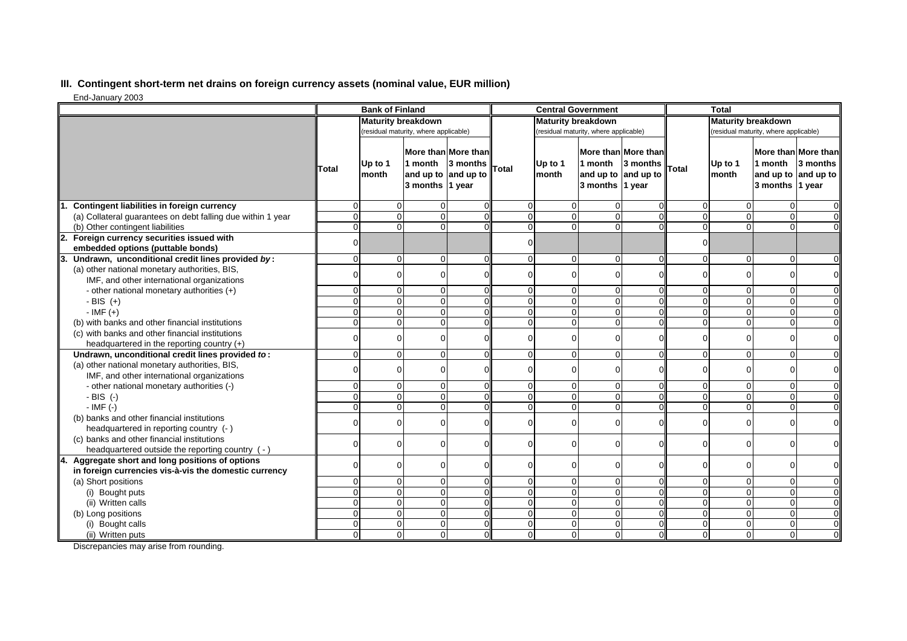## **III. Contingent short-term net drains on foreign currency assets (nominal value, EUR million)**

End-January 2003

|                                                                                                        | <b>Bank of Finland</b>    |                  |                                                                          | <b>Central Government</b> |                |                                       |                                                                          | <b>Total</b>              |                |                                       |                            |                                                        |
|--------------------------------------------------------------------------------------------------------|---------------------------|------------------|--------------------------------------------------------------------------|---------------------------|----------------|---------------------------------------|--------------------------------------------------------------------------|---------------------------|----------------|---------------------------------------|----------------------------|--------------------------------------------------------|
|                                                                                                        | <b>Maturity breakdown</b> |                  |                                                                          | <b>Maturity breakdown</b> |                |                                       |                                                                          | <b>Maturity breakdown</b> |                |                                       |                            |                                                        |
|                                                                                                        |                           |                  | (residual maturity, where applicable)                                    |                           |                | (residual maturity, where applicable) |                                                                          |                           |                | (residual maturity, where applicable) |                            |                                                        |
|                                                                                                        | Total                     | Up to 1<br>month | More than More than<br>1 month<br>and up to and up to<br>3 months 1 year | 3 months                  | <b>Total</b>   | Up to 1<br>month                      | More than More than<br>1 month<br>and up to and up to<br>3 months 1 year | 3 months                  | Total          | Up to 1<br>month                      | 1 month<br>3 months 1 year | More than More than<br>3 months<br>and up to and up to |
| Contingent liabilities in foreign currency                                                             | $\Omega$                  | $\overline{0}$   | $\Omega$                                                                 |                           | $\Omega$       | $\Omega$                              | $\Omega$                                                                 | 0                         | $\Omega$       | $\Omega$                              | 0                          | $\overline{0}$                                         |
| (a) Collateral guarantees on debt falling due within 1 year                                            | $\mathbf 0$               | $\mathbf 0$      | $\mathbf 0$                                                              |                           | $\overline{0}$ | $\mathbf 0$                           | $\Omega$                                                                 | $\mathbf 0$               | $\overline{0}$ | $\Omega$                              | $\mathbf 0$                | $\overline{0}$                                         |
| (b) Other contingent liabilities                                                                       | $\overline{0}$            | $\mathbf 0$      | $\Omega$                                                                 |                           | $\overline{0}$ | $\Omega$                              | $\Omega$                                                                 | $\Omega$                  | $\Omega$       | $\Omega$                              | $\overline{0}$             | $\overline{0}$                                         |
| $\overline{2}$ .<br>Foreign currency securities issued with<br>embedded options (puttable bonds)       | $\Omega$                  |                  |                                                                          |                           | $\Omega$       |                                       |                                                                          |                           | $\mathbf 0$    |                                       |                            |                                                        |
| 3.<br>Undrawn, unconditional credit lines provided by:                                                 | $\Omega$                  | $\overline{0}$   | $\Omega$                                                                 |                           | $\Omega$       | $\Omega$                              | $\Omega$                                                                 | $\Omega$                  | $\Omega$       | $\Omega$                              | 0                          | $\mathbf 0$                                            |
| (a) other national monetary authorities, BIS,                                                          |                           |                  |                                                                          |                           |                |                                       |                                                                          |                           |                |                                       |                            |                                                        |
| IMF, and other international organizations                                                             |                           | $\Omega$         | $\Omega$                                                                 |                           | 0              | C                                     |                                                                          | O                         | $\Omega$       | $\Omega$                              | $\Omega$                   | $\overline{O}$                                         |
| - other national monetary authorities $(+)$                                                            | $\Omega$                  | $\overline{0}$   | $\mathbf 0$                                                              |                           | 0              | $\mathbf 0$                           |                                                                          |                           | $\Omega$       | $\Omega$                              | 0                          | $\mathbf 0$                                            |
| - BIS $(+)$                                                                                            | $\Omega$                  | $\overline{0}$   | $\Omega$                                                                 |                           | $\overline{0}$ | $\Omega$                              |                                                                          | $\Omega$                  | $\Omega$       | $\Omega$                              | $\mathbf 0$                | οl                                                     |
| $-IMF (+)$                                                                                             | $\Omega$                  | $\Omega$         | $\Omega$                                                                 |                           | $\Omega$       | $\Omega$                              |                                                                          | $\Omega$                  | $\Omega$       | $\Omega$                              | $\mathbf 0$                | οl                                                     |
| (b) with banks and other financial institutions                                                        | $\Omega$                  | $\overline{0}$   | $\Omega$                                                                 |                           | $\Omega$       | $\Omega$                              |                                                                          | $\Omega$                  | $\Omega$       | $\Omega$                              | 0                          | $\overline{0}$                                         |
| (c) with banks and other financial institutions<br>headquartered in the reporting country $(+)$        | ∩                         | $\overline{0}$   | $\Omega$                                                                 |                           | 0              | $\Omega$                              |                                                                          | $\Omega$                  | $\Omega$       | $\Omega$                              | 0                          | οl                                                     |
| Undrawn, unconditional credit lines provided to:                                                       | $\Omega$                  | $\overline{0}$   | $\Omega$                                                                 |                           | $\Omega$       | $\Omega$                              | $\Omega$                                                                 | $\Omega$                  | $\Omega$       | $\Omega$                              | 0                          | $\overline{0}$                                         |
| (a) other national monetary authorities, BIS,<br>IMF, and other international organizations            |                           | $\overline{0}$   | ∩                                                                        |                           | $\Omega$       | $\Omega$                              |                                                                          | O                         | $\cap$         | $\Omega$                              | 0                          | $\overline{O}$                                         |
| - other national monetary authorities (-)                                                              | $\Omega$                  | $\mathbf 0$      | $\mathbf 0$                                                              |                           | $\Omega$       | $\Omega$                              | $\Omega$                                                                 | $\overline{0}$            | $\Omega$       | $\Omega$                              | $\mathbf 0$                | $\overline{0}$                                         |
| $-BIS$ (-)                                                                                             | $\Omega$                  | $\overline{0}$   | $\Omega$                                                                 |                           | $\overline{0}$ | $\Omega$                              | $\Omega$                                                                 | $\Omega$                  | $\Omega$       | $\Omega$                              | $\mathbf 0$                | οl                                                     |
| $-IMF(-)$                                                                                              | $\Omega$                  | $\overline{0}$   | $\Omega$                                                                 |                           | $\Omega$       | $\Omega$                              |                                                                          |                           | $\Omega$       | $\Omega$                              | 0                          | $\overline{0}$                                         |
| (b) banks and other financial institutions<br>headquartered in reporting country (- )                  |                           | $\overline{0}$   | $\Omega$                                                                 |                           | 0              | $\Omega$                              |                                                                          | $\Omega$                  | $\Omega$       | $\Omega$                              | 0                          | $\overline{0}$                                         |
| (c) banks and other financial institutions<br>headquartered outside the reporting country (-)          |                           | $\overline{0}$   | $\Omega$                                                                 |                           | 0              | 0                                     |                                                                          | $\Omega$                  | $\Omega$       | $\Omega$                              | $\Omega$                   | ΟI                                                     |
| Aggregate short and long positions of options<br>in foreign currencies vis-à-vis the domestic currency | $\Omega$                  | $\mathbf 0$      | $\Omega$                                                                 |                           | 0              | $\mathbf 0$                           |                                                                          | $\Omega$                  | $\mathbf 0$    | $\Omega$                              | 0                          | οl                                                     |
| (a) Short positions                                                                                    | $\Omega$                  | $\overline{0}$   | $\Omega$                                                                 |                           | $\Omega$       | $\Omega$                              |                                                                          | $\Omega$                  | $\Omega$       | $\Omega$                              | $\mathbf 0$                | $\overline{0}$                                         |
| (i) Bought puts                                                                                        | $\Omega$                  | $\overline{0}$   | $\Omega$                                                                 |                           | $\overline{0}$ | $\Omega$                              | $\Omega$                                                                 | $\Omega$                  | $\Omega$       | $\Omega$                              | 0                          | $\mathbf 0$                                            |
| (ii) Written calls                                                                                     | $\Omega$                  | $\overline{0}$   | $\mathbf 0$                                                              |                           | $\overline{0}$ | $\Omega$                              | $\Omega$                                                                 | $\Omega$                  | $\Omega$       | $\Omega$                              | $\mathbf 0$                | $\overline{0}$                                         |
| (b) Long positions                                                                                     | $\Omega$                  | $\mathbf 0$      | $\mathbf 0$                                                              |                           | $\overline{0}$ | $\mathbf 0$                           | $\Omega$                                                                 | $\mathbf 0$               | $\Omega$       | $\Omega$                              | $\overline{0}$             | $\overline{O}$                                         |
| (i) Bought calls                                                                                       | $\Omega$                  | $\overline{0}$   | $\mathbf 0$                                                              |                           | $\overline{0}$ | $\mathbf 0$                           | $\Omega$                                                                 | $\Omega$                  | $\Omega$       | $\Omega$                              | $\overline{0}$             | $\mathbf 0$                                            |
| (ii) Written puts                                                                                      | $\Omega$                  | $\Omega$         | $\Omega$                                                                 |                           | $\Omega$       | $\Omega$                              | $\Omega$                                                                 | $\Omega$                  | $\Omega$       | $\Omega$                              | $\Omega$                   | $\mathbf 0$                                            |